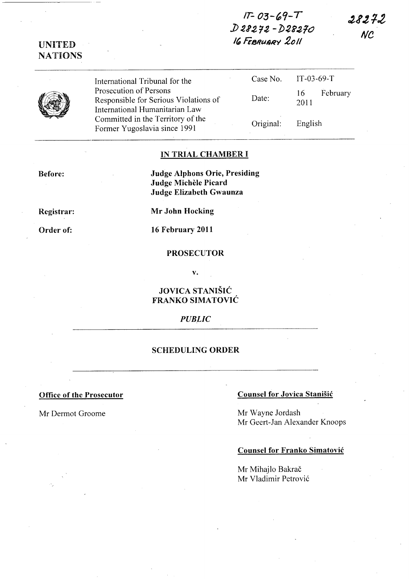# IT- *03-'9-*<sup>T</sup> *j) 212* ~2 - ])~e210 16 FEBRUARY 2011

28272  $NC$ 

|  | International Tribunal for the        |
|--|---------------------------------------|
|  | Prosecution of Persons                |
|  | Responsible for Serious Violations of |
|  | International Humanitarian Law        |
|  | Committed in the Territory of the     |
|  | Former Yugoslavia since 1991          |

| Case No.  | $IT-03-69-T$        |
|-----------|---------------------|
| Date:     | 16 February<br>2011 |
| Original: | English             |

# IN TRIAL CHAMBER I

Before:

Judge Alphons Orie, Presiding Judge Michele Picard Judge Elizabeth Gwaunza

Registrar:

UNITED NATIONS

Order of:

Mr John Hocking

16 February 2011

### PROSECUTOR

v.

# JOVICA STANIŠIĆ FRANKO SIMATOVIC

#### **PUBLIC**

#### SCHEDULING ORDER

# Office of the Prosecutor Counsel for Jovica Stanisic

Mr Dermot Groome Mr Wayne Jordash Mr Geert-Jan Alexander Knoops

#### Counsel for Franko Simatovic

Mr Mihajlo Bakrač Mr Vladimir Petrović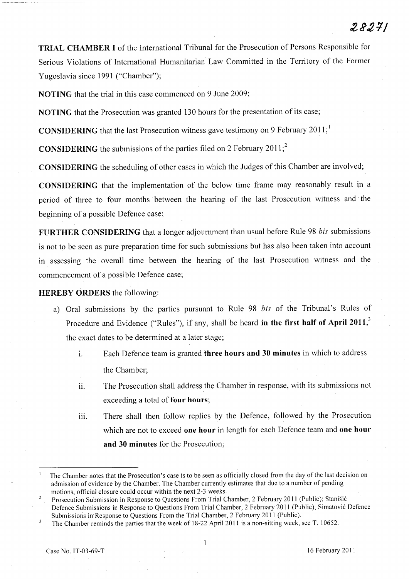TRIAL CHAMBER I of the International Tribunal for the Prosecution of Persons Responsible for Serious Violations of International Humanitarian Law Committed in the Territory of the Former Yugoslavia since 1991 ("Chamber");

NOTING that the trial in this case commenced on 9 June 2009;

NOTING that the Prosecution was granted 130 hours for the presentation of its case;

**CONSIDERING** that the last Prosecution witness gave testimony on 9 February 2011;

**CONSIDERING** the submissions of the parties filed on 2 February 2011;<sup>2</sup>

CONSIDERING the scheduling of other cases in which the Judges of this Chamber are involved;

CONSIDERING that the implementation of the below time frame may reasonably result in a period of three to four months between the hearing of the last Prosecution witness and the beginning of a possible Defence case;

FURTHER CONSIDERING that a longer adjournment than usual before Rule 98 *bis* submissions is not to be seen as pure preparation time for such submissions but has also been taken into account in assessing the overall time between the hearing of the last Prosecution witness and the commencement of a possible Defence case;

# HEREBY ORDERS the following:

- a) Oral submissions by the parties pursuant to Rule 98 *bis* of the Tribunal's Rules of Procedure and Evidence ("Rules"), if any, shall be heard in the first half of April  $2011$ , the exact dates to be determined at a later stage;
	- i. Each Defence team is granted three hours and 30 minutes in which to address the Chamber;
	- 11. The Prosecution shall address the Chamber in response, with its submissions not exceeding a total of four hours;
	- iii. There shall then follow replies by the Defence, followed by the Prosecution which are not to exceed one hour in length for each Defence team and one hour and 30 minutes for the Prosecution;

The Chamber notes that the Prosecution's case is to be seen as officially closed from the day of the last decision on admission of evidence by the Chamber. The Chamber currently estimates that due to a number of pending motions, official closure could occur within the next 2-3 weeks.

Prosecution Submission in Response to Questions From Trial Chamber, 2 February 2011 (Public); Stanisic Defence Submissions in Response to Questions From Trial Chamber, 2 February 20 11 (Public); Simatovic Defence Submissions in Response to Questions From the Trial Chamber, 2 February 20 11 (Public).

The Chamber reminds the parties that the week of 18-22 April 2011 is a non-sitting week, see T. 10652.